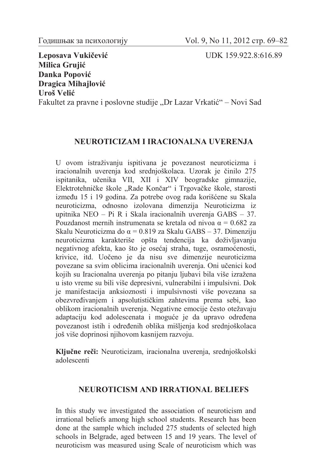**Leposava Vukičević** UDK 159.922.8:616.89 **Milica Grujić Danka Popović Dragica Mihajlović Uroš Velić**

Fakultet za pravne i poslovne studije "Dr Lazar Vrkatić" – Novi Sad

## **NEUROTICIZAM I IRACIONALNA UVERENJA**

U ovom istraživanju ispitivana je povezanost neuroticizma i iracionalnih uverenja kod srednjoškolaca. Uzorak je činilo 275 ispitanika, učenika VII, XII i XIV beogradske gimnazije, Elektrotehničke škole "Rade Končar" i Trgovačke škole, starosti između 15 i 19 godina. Za potrebe ovog rada korišćene su Skala neuroticizma, odnosno izolovana dimenzija Neuroticizma iz upitnika NEO – Pi R i Skala iracionalnih uverenja GABS – 37. Pouzdanost mernih instrumenata se kretala od nivoa  $\alpha = 0.682$  za Skalu Neuroticizma do  $\alpha$  = 0.819 za Skalu GABS – 37. Dimenziju neuroticizma karakteriše opšta tendencija ka doživljavanju negativnog afekta, kao što je osećaj straha, tuge, osramoćenosti, krivice, itd. Uočeno je da nisu sve dimenzije neuroticizma povezane sa svim oblicima iracionalnih uverenja. Oni učenici kod kojih su Iracionalna uverenja po pitanju ljubavi bila više izražena u isto vreme su bili više depresivni, vulnerabilni i impulsivni. Dok je manifestacija anksioznosti i impulsivnosti više povezana sa obezvređivanjem i apsolutističkim zahtevima prema sebi, kao oblikom iracionalnih uverenja. Negativne emocije često otežavaju adaptaciju kod adolescenata i moguće je da upravo određena povezanost istih i određenih oblika mišljenja kod srednjoškolaca još više doprinosi njihovom kasnijem razvoju.

**Ključne reči:** Neuroticizam, iracionalna uverenja, srednjoškolski adolescenti

## **NEUROTICISM AND IRRATIONAL BELIEFS**

In this study we investigated the association of neuroticism and irrational beliefs among high school students. Research has been done at the sample which included 275 students of selected high schools in Belgrade, aged between 15 and 19 years. The level of neuroticism was measured using Scale of neuroticism which was